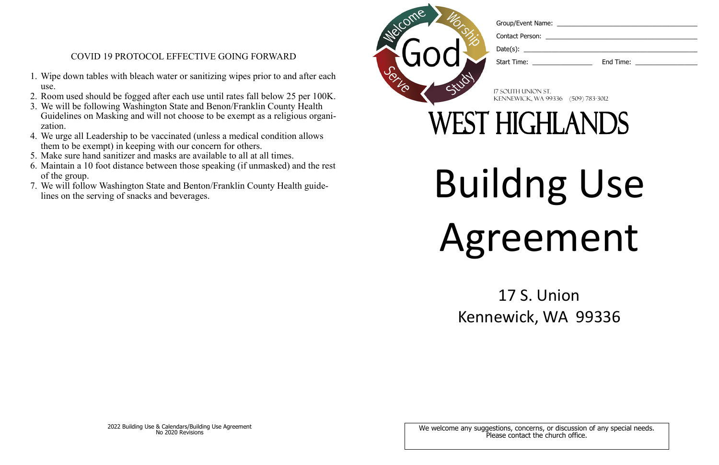Contact Person:

Start Time: **End Time: End Time:** 

- 1. Wipe down tables with bleach water or sanitizing wipes prior to and after each use.
- 2. Room used should be fogged after each use until rates fall below 25 per 100K.
- 3. We will be following Washington State and Benon/Franklin County Health Guidelines on Masking and will not choose to be exempt as a religious organization.
- 4. We urge all Leadership to be vaccinated (unless a medical condition allows them to be exempt) in keeping with our concern for others.
- 5. Make sure hand sanitizer and masks are available to all at all times.
- 6. Maintain a 10 foot distance between those speaking (if unmasked) and the rest of the group.
- 7. We will follow Washington State and Benton/Franklin County Health guide-<br>lines on the serving of snacks and beverages.

## COVID 19 PROTOCOL EFFECTIVE GOING FORWARD

# Buildng Use Agreement

## 17 S. Union Kennewick, WA 99336

We welcome any suggestions, concerns, or discussion of any special needs. Please contact the church office.

17 South Union St. Kennewick, WA 99336 (509) 783-3012

## **WEST HIGHLANDS**